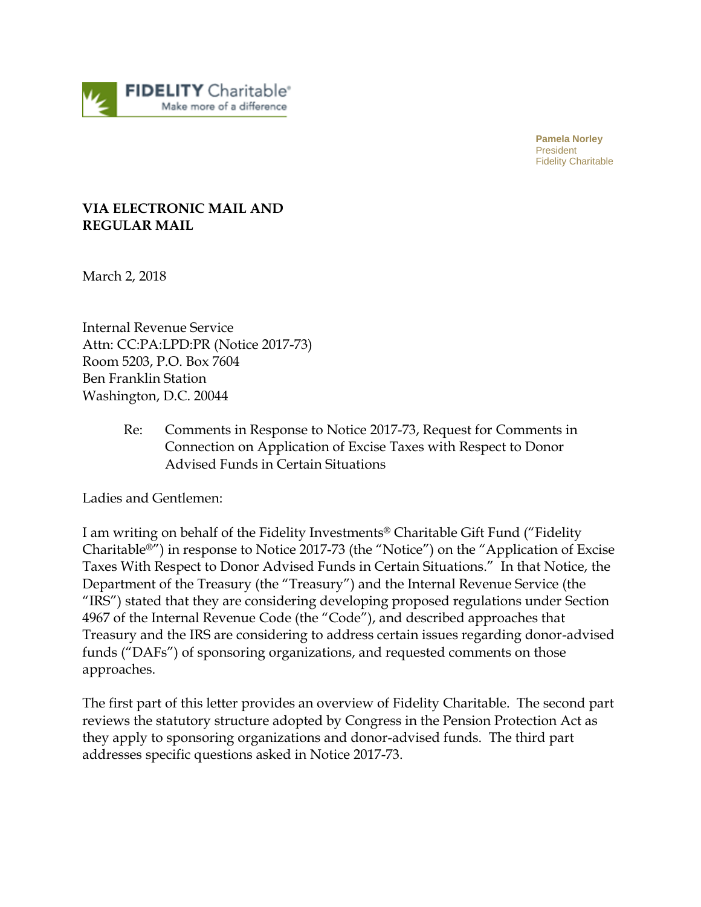

**Pamela Norley** President Fidelity Charitable

## **VIA ELECTRONIC MAIL AND REGULAR MAIL**

March 2, 2018

Internal Revenue Service Attn: CC:PA:LPD:PR (Notice 2017-73) Room 5203, P.O. Box 7604 Ben Franklin Station Washington, D.C. 20044

> Re: Comments in Response to Notice 2017-73, Request for Comments in Connection on Application of Excise Taxes with Respect to Donor Advised Funds in Certain Situations

Ladies and Gentlemen:

I am writing on behalf of the Fidelity Investments® Charitable Gift Fund ("Fidelity Charitable®") in response to Notice 2017-73 (the "Notice") on the "Application of Excise Taxes With Respect to Donor Advised Funds in Certain Situations." In that Notice, the Department of the Treasury (the "Treasury") and the Internal Revenue Service (the "IRS") stated that they are considering developing proposed regulations under Section 4967 of the Internal Revenue Code (the "Code"), and described approaches that Treasury and the IRS are considering to address certain issues regarding donor-advised funds ("DAFs") of sponsoring organizations, and requested comments on those approaches.

The first part of this letter provides an overview of Fidelity Charitable. The second part reviews the statutory structure adopted by Congress in the Pension Protection Act as they apply to sponsoring organizations and donor-advised funds. The third part addresses specific questions asked in Notice 2017-73.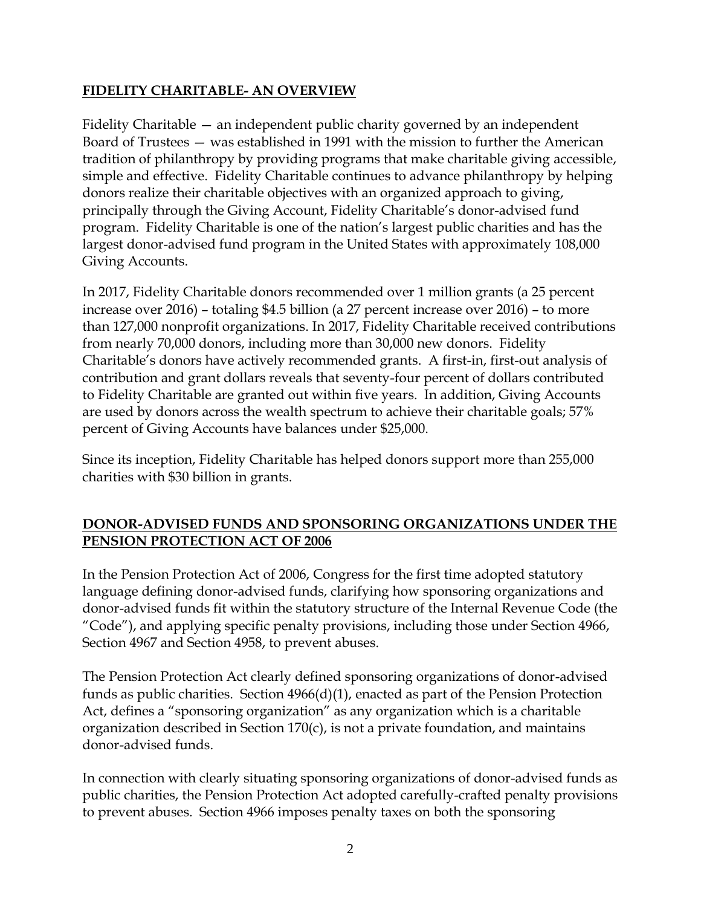## **FIDELITY CHARITABLE- AN OVERVIEW**

Fidelity Charitable — an independent public charity governed by an independent Board of Trustees — was established in 1991 with the mission to further the American tradition of philanthropy by providing programs that make charitable giving accessible, simple and effective. Fidelity Charitable continues to advance philanthropy by helping donors realize their charitable objectives with an organized approach to giving, principally through the Giving Account, Fidelity Charitable's donor-advised fund program. Fidelity Charitable is one of the nation's largest public charities and has the largest donor-advised fund program in the United States with approximately 108,000 Giving Accounts.

In 2017, Fidelity Charitable donors recommended over 1 million grants (a 25 percent increase over 2016) – totaling \$4.5 billion (a 27 percent increase over 2016) – to more than 127,000 nonprofit organizations. In 2017, Fidelity Charitable received contributions from nearly 70,000 donors, including more than 30,000 new donors. Fidelity Charitable's donors have actively recommended grants. A first-in, first-out analysis of contribution and grant dollars reveals that seventy-four percent of dollars contributed to Fidelity Charitable are granted out within five years. In addition, Giving Accounts are used by donors across the wealth spectrum to achieve their charitable goals; 57% percent of Giving Accounts have balances under \$25,000.

Since its inception, Fidelity Charitable has helped donors support more than 255,000 charities with \$30 billion in grants.

## **DONOR-ADVISED FUNDS AND SPONSORING ORGANIZATIONS UNDER THE PENSION PROTECTION ACT OF 2006**

In the Pension Protection Act of 2006, Congress for the first time adopted statutory language defining donor-advised funds, clarifying how sponsoring organizations and donor-advised funds fit within the statutory structure of the Internal Revenue Code (the "Code"), and applying specific penalty provisions, including those under Section 4966, Section 4967 and Section 4958, to prevent abuses.

The Pension Protection Act clearly defined sponsoring organizations of donor-advised funds as public charities. Section 4966(d)(1), enacted as part of the Pension Protection Act, defines a "sponsoring organization" as any organization which is a charitable organization described in Section 170(c), is not a private foundation, and maintains donor-advised funds.

In connection with clearly situating sponsoring organizations of donor-advised funds as public charities, the Pension Protection Act adopted carefully-crafted penalty provisions to prevent abuses. Section 4966 imposes penalty taxes on both the sponsoring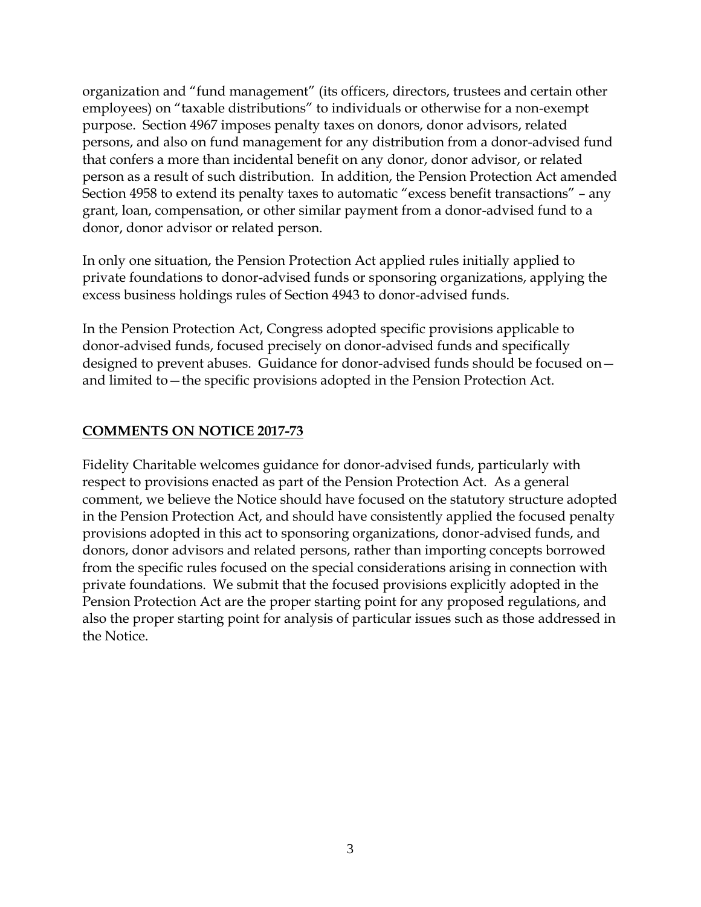organization and "fund management" (its officers, directors, trustees and certain other employees) on "taxable distributions" to individuals or otherwise for a non-exempt purpose. Section 4967 imposes penalty taxes on donors, donor advisors, related persons, and also on fund management for any distribution from a donor-advised fund that confers a more than incidental benefit on any donor, donor advisor, or related person as a result of such distribution. In addition, the Pension Protection Act amended Section 4958 to extend its penalty taxes to automatic "excess benefit transactions" – any grant, loan, compensation, or other similar payment from a donor-advised fund to a donor, donor advisor or related person.

In only one situation, the Pension Protection Act applied rules initially applied to private foundations to donor-advised funds or sponsoring organizations, applying the excess business holdings rules of Section 4943 to donor-advised funds.

In the Pension Protection Act, Congress adopted specific provisions applicable to donor-advised funds, focused precisely on donor-advised funds and specifically designed to prevent abuses. Guidance for donor-advised funds should be focused on and limited to—the specific provisions adopted in the Pension Protection Act.

## **COMMENTS ON NOTICE 2017-73**

Fidelity Charitable welcomes guidance for donor-advised funds, particularly with respect to provisions enacted as part of the Pension Protection Act. As a general comment, we believe the Notice should have focused on the statutory structure adopted in the Pension Protection Act, and should have consistently applied the focused penalty provisions adopted in this act to sponsoring organizations, donor-advised funds, and donors, donor advisors and related persons, rather than importing concepts borrowed from the specific rules focused on the special considerations arising in connection with private foundations. We submit that the focused provisions explicitly adopted in the Pension Protection Act are the proper starting point for any proposed regulations, and also the proper starting point for analysis of particular issues such as those addressed in the Notice.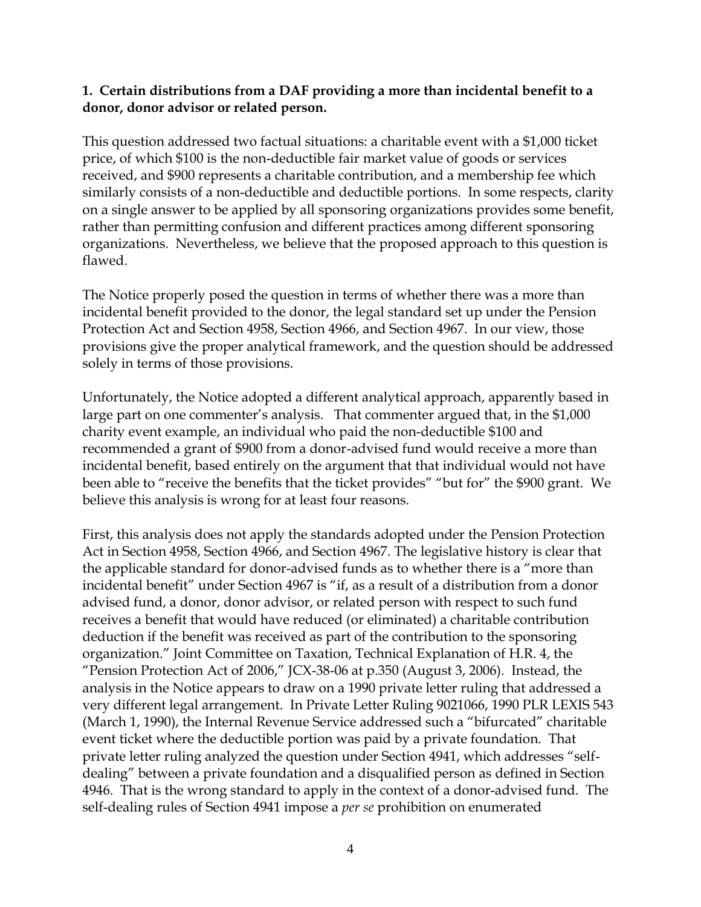#### **1. Certain distributions from a DAF providing a more than incidental benefit to a donor, donor advisor or related person.**

This question addressed two factual situations: a charitable event with a \$1,000 ticket price, of which \$100 is the non-deductible fair market value of goods or services received, and \$900 represents a charitable contribution, and a membership fee which similarly consists of a non-deductible and deductible portions. In some respects, clarity on a single answer to be applied by all sponsoring organizations provides some benefit, rather than permitting confusion and different practices among different sponsoring organizations. Nevertheless, we believe that the proposed approach to this question is flawed.

The Notice properly posed the question in terms of whether there was a more than incidental benefit provided to the donor, the legal standard set up under the Pension Protection Act and Section 4958, Section 4966, and Section 4967. In our view, those provisions give the proper analytical framework, and the question should be addressed solely in terms of those provisions.

Unfortunately, the Notice adopted a different analytical approach, apparently based in large part on one commenter's analysis. That commenter argued that, in the \$1,000 charity event example, an individual who paid the non-deductible \$100 and recommended a grant of \$900 from a donor-advised fund would receive a more than incidental benefit, based entirely on the argument that that individual would not have been able to "receive the benefits that the ticket provides" "but for" the \$900 grant. We believe this analysis is wrong for at least four reasons.

First, this analysis does not apply the standards adopted under the Pension Protection Act in Section 4958, Section 4966, and Section 4967. The legislative history is clear that the applicable standard for donor-advised funds as to whether there is a "more than incidental benefit" under Section 4967 is "if, as a result of a distribution from a donor advised fund, a donor, donor advisor, or related person with respect to such fund receives a benefit that would have reduced (or eliminated) a charitable contribution deduction if the benefit was received as part of the contribution to the sponsoring organization." Joint Committee on Taxation, Technical Explanation of H.R. 4, the "Pension Protection Act of 2006," JCX-38-06 at p.350 (August 3, 2006). Instead, the analysis in the Notice appears to draw on a 1990 private letter ruling that addressed a very different legal arrangement. In Private Letter Ruling 9021066, 1990 PLR LEXIS 543 (March 1, 1990), the Internal Revenue Service addressed such a "bifurcated" charitable event ticket where the deductible portion was paid by a private foundation. That private letter ruling analyzed the question under Section 4941, which addresses "selfdealing" between a private foundation and a disqualified person as defined in Section 4946. That is the wrong standard to apply in the context of a donor-advised fund. The self-dealing rules of Section 4941 impose a *per se* prohibition on enumerated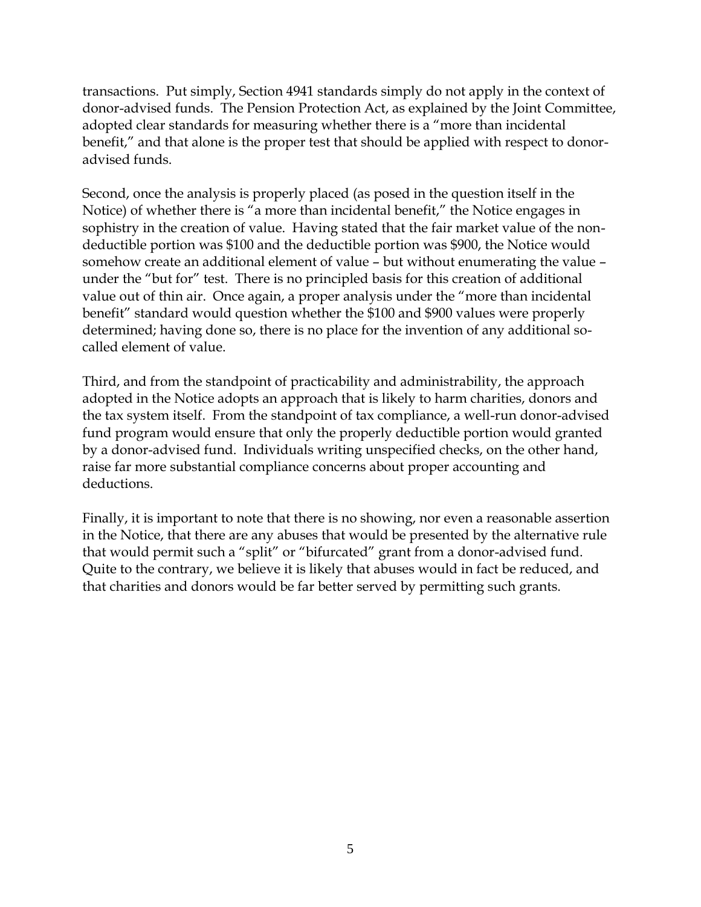transactions. Put simply, Section 4941 standards simply do not apply in the context of donor-advised funds. The Pension Protection Act, as explained by the Joint Committee, adopted clear standards for measuring whether there is a "more than incidental benefit," and that alone is the proper test that should be applied with respect to donoradvised funds.

Second, once the analysis is properly placed (as posed in the question itself in the Notice) of whether there is "a more than incidental benefit," the Notice engages in sophistry in the creation of value. Having stated that the fair market value of the nondeductible portion was \$100 and the deductible portion was \$900, the Notice would somehow create an additional element of value – but without enumerating the value – under the "but for" test. There is no principled basis for this creation of additional value out of thin air. Once again, a proper analysis under the "more than incidental benefit" standard would question whether the \$100 and \$900 values were properly determined; having done so, there is no place for the invention of any additional socalled element of value.

Third, and from the standpoint of practicability and administrability, the approach adopted in the Notice adopts an approach that is likely to harm charities, donors and the tax system itself. From the standpoint of tax compliance, a well-run donor-advised fund program would ensure that only the properly deductible portion would granted by a donor-advised fund. Individuals writing unspecified checks, on the other hand, raise far more substantial compliance concerns about proper accounting and deductions.

Finally, it is important to note that there is no showing, nor even a reasonable assertion in the Notice, that there are any abuses that would be presented by the alternative rule that would permit such a "split" or "bifurcated" grant from a donor-advised fund. Quite to the contrary, we believe it is likely that abuses would in fact be reduced, and that charities and donors would be far better served by permitting such grants.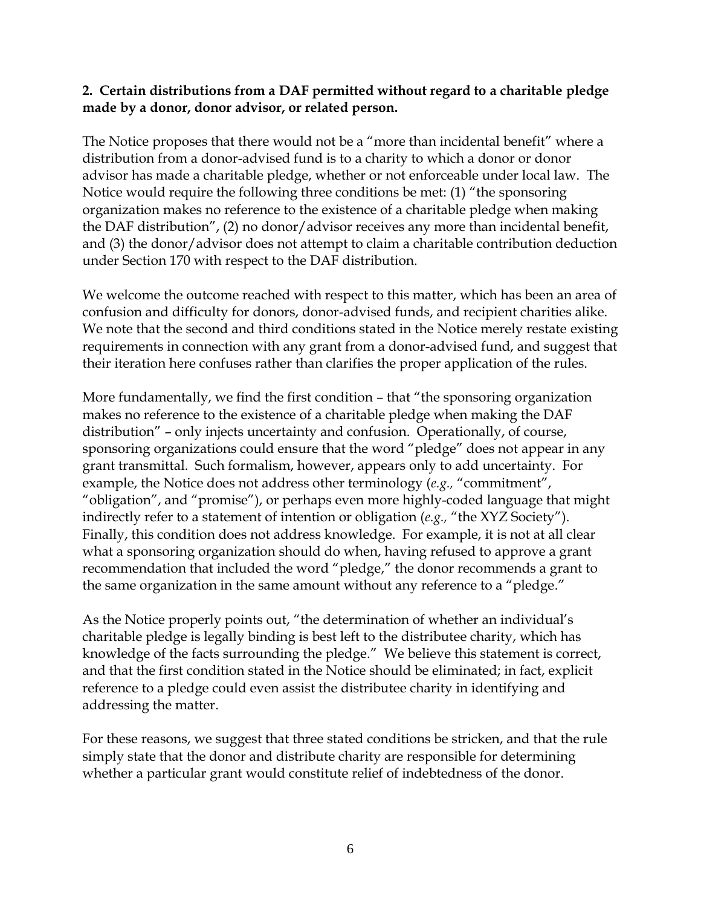#### **2. Certain distributions from a DAF permitted without regard to a charitable pledge made by a donor, donor advisor, or related person.**

The Notice proposes that there would not be a "more than incidental benefit" where a distribution from a donor-advised fund is to a charity to which a donor or donor advisor has made a charitable pledge, whether or not enforceable under local law. The Notice would require the following three conditions be met: (1) "the sponsoring organization makes no reference to the existence of a charitable pledge when making the DAF distribution", (2) no donor/advisor receives any more than incidental benefit, and (3) the donor/advisor does not attempt to claim a charitable contribution deduction under Section 170 with respect to the DAF distribution.

We welcome the outcome reached with respect to this matter, which has been an area of confusion and difficulty for donors, donor-advised funds, and recipient charities alike. We note that the second and third conditions stated in the Notice merely restate existing requirements in connection with any grant from a donor-advised fund, and suggest that their iteration here confuses rather than clarifies the proper application of the rules.

More fundamentally, we find the first condition – that "the sponsoring organization makes no reference to the existence of a charitable pledge when making the DAF distribution" – only injects uncertainty and confusion. Operationally, of course, sponsoring organizations could ensure that the word "pledge" does not appear in any grant transmittal. Such formalism, however, appears only to add uncertainty. For example, the Notice does not address other terminology (*e.g.,* "commitment", "obligation", and "promise"), or perhaps even more highly-coded language that might indirectly refer to a statement of intention or obligation (*e.g.,* "the XYZ Society"). Finally, this condition does not address knowledge. For example, it is not at all clear what a sponsoring organization should do when, having refused to approve a grant recommendation that included the word "pledge," the donor recommends a grant to the same organization in the same amount without any reference to a "pledge."

As the Notice properly points out, "the determination of whether an individual's charitable pledge is legally binding is best left to the distributee charity, which has knowledge of the facts surrounding the pledge." We believe this statement is correct, and that the first condition stated in the Notice should be eliminated; in fact, explicit reference to a pledge could even assist the distributee charity in identifying and addressing the matter.

For these reasons, we suggest that three stated conditions be stricken, and that the rule simply state that the donor and distribute charity are responsible for determining whether a particular grant would constitute relief of indebtedness of the donor.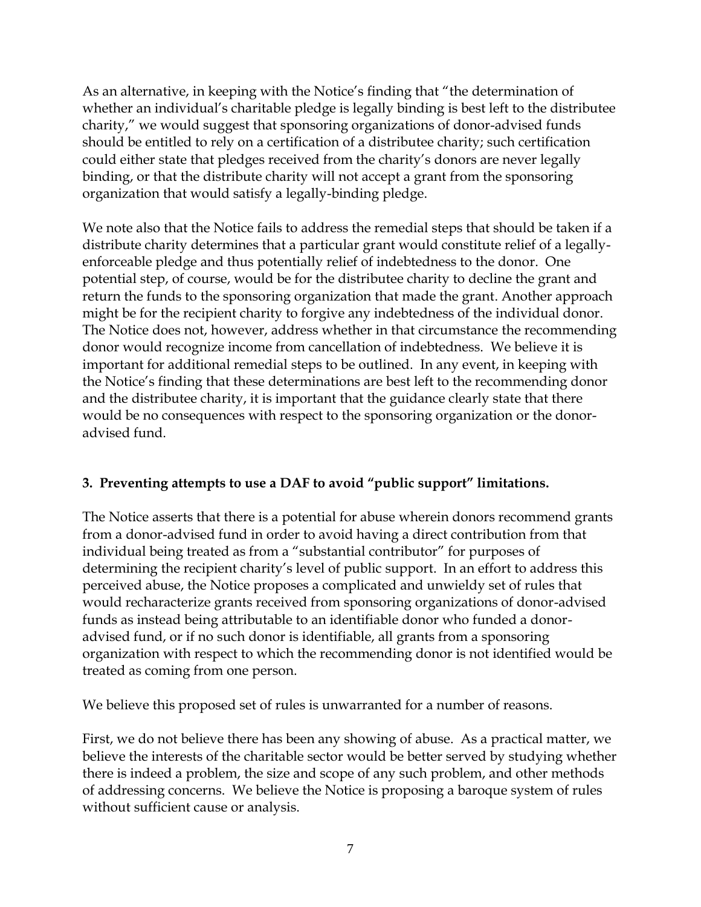As an alternative, in keeping with the Notice's finding that "the determination of whether an individual's charitable pledge is legally binding is best left to the distributee charity," we would suggest that sponsoring organizations of donor-advised funds should be entitled to rely on a certification of a distributee charity; such certification could either state that pledges received from the charity's donors are never legally binding, or that the distribute charity will not accept a grant from the sponsoring organization that would satisfy a legally-binding pledge.

We note also that the Notice fails to address the remedial steps that should be taken if a distribute charity determines that a particular grant would constitute relief of a legallyenforceable pledge and thus potentially relief of indebtedness to the donor. One potential step, of course, would be for the distributee charity to decline the grant and return the funds to the sponsoring organization that made the grant. Another approach might be for the recipient charity to forgive any indebtedness of the individual donor. The Notice does not, however, address whether in that circumstance the recommending donor would recognize income from cancellation of indebtedness. We believe it is important for additional remedial steps to be outlined. In any event, in keeping with the Notice's finding that these determinations are best left to the recommending donor and the distributee charity, it is important that the guidance clearly state that there would be no consequences with respect to the sponsoring organization or the donoradvised fund.

# **3. Preventing attempts to use a DAF to avoid "public support" limitations.**

The Notice asserts that there is a potential for abuse wherein donors recommend grants from a donor-advised fund in order to avoid having a direct contribution from that individual being treated as from a "substantial contributor" for purposes of determining the recipient charity's level of public support. In an effort to address this perceived abuse, the Notice proposes a complicated and unwieldy set of rules that would recharacterize grants received from sponsoring organizations of donor-advised funds as instead being attributable to an identifiable donor who funded a donoradvised fund, or if no such donor is identifiable, all grants from a sponsoring organization with respect to which the recommending donor is not identified would be treated as coming from one person.

We believe this proposed set of rules is unwarranted for a number of reasons.

First, we do not believe there has been any showing of abuse. As a practical matter, we believe the interests of the charitable sector would be better served by studying whether there is indeed a problem, the size and scope of any such problem, and other methods of addressing concerns. We believe the Notice is proposing a baroque system of rules without sufficient cause or analysis.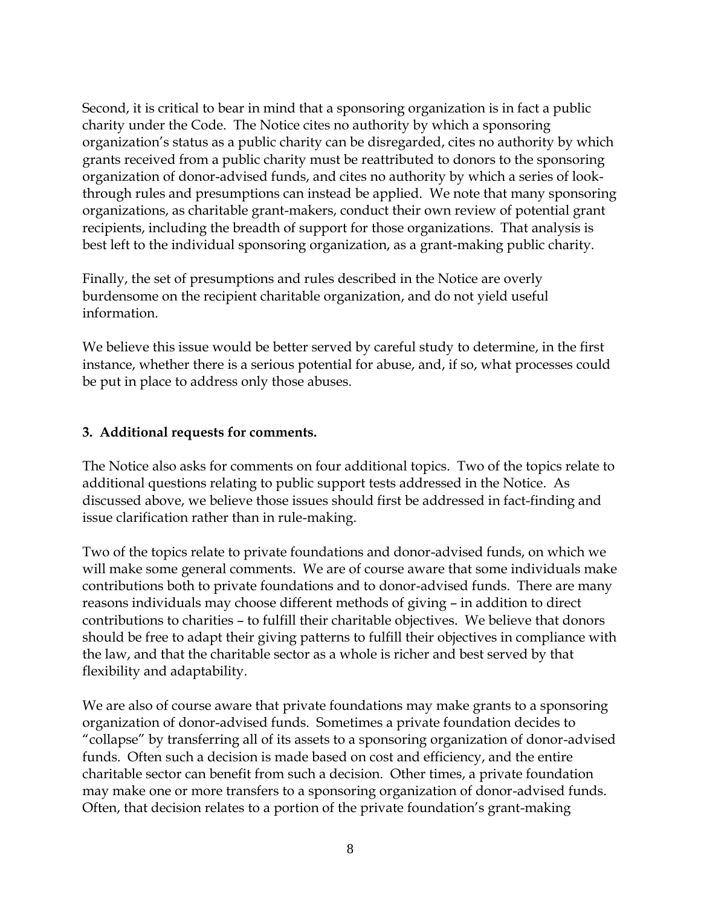Second, it is critical to bear in mind that a sponsoring organization is in fact a public charity under the Code. The Notice cites no authority by which a sponsoring organization's status as a public charity can be disregarded, cites no authority by which grants received from a public charity must be reattributed to donors to the sponsoring organization of donor-advised funds, and cites no authority by which a series of lookthrough rules and presumptions can instead be applied. We note that many sponsoring organizations, as charitable grant-makers, conduct their own review of potential grant recipients, including the breadth of support for those organizations. That analysis is best left to the individual sponsoring organization, as a grant-making public charity.

Finally, the set of presumptions and rules described in the Notice are overly burdensome on the recipient charitable organization, and do not yield useful information.

We believe this issue would be better served by careful study to determine, in the first instance, whether there is a serious potential for abuse, and, if so, what processes could be put in place to address only those abuses.

#### **3. Additional requests for comments.**

The Notice also asks for comments on four additional topics. Two of the topics relate to additional questions relating to public support tests addressed in the Notice. As discussed above, we believe those issues should first be addressed in fact-finding and issue clarification rather than in rule-making.

Two of the topics relate to private foundations and donor-advised funds, on which we will make some general comments. We are of course aware that some individuals make contributions both to private foundations and to donor-advised funds. There are many reasons individuals may choose different methods of giving – in addition to direct contributions to charities – to fulfill their charitable objectives. We believe that donors should be free to adapt their giving patterns to fulfill their objectives in compliance with the law, and that the charitable sector as a whole is richer and best served by that flexibility and adaptability.

We are also of course aware that private foundations may make grants to a sponsoring organization of donor-advised funds. Sometimes a private foundation decides to "collapse" by transferring all of its assets to a sponsoring organization of donor-advised funds. Often such a decision is made based on cost and efficiency, and the entire charitable sector can benefit from such a decision. Other times, a private foundation may make one or more transfers to a sponsoring organization of donor-advised funds. Often, that decision relates to a portion of the private foundation's grant-making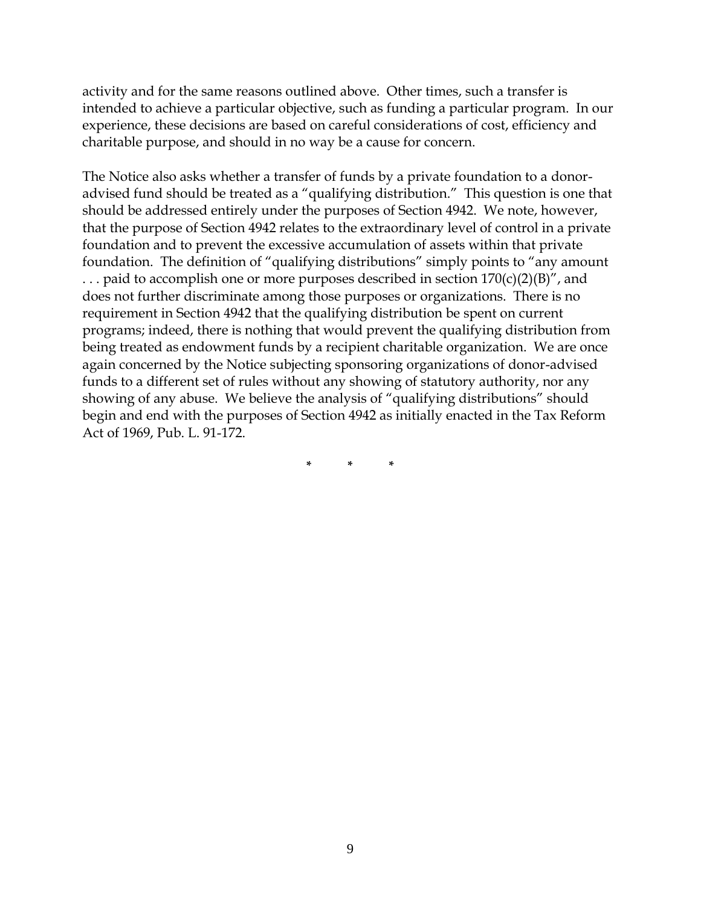activity and for the same reasons outlined above. Other times, such a transfer is intended to achieve a particular objective, such as funding a particular program. In our experience, these decisions are based on careful considerations of cost, efficiency and charitable purpose, and should in no way be a cause for concern.

The Notice also asks whether a transfer of funds by a private foundation to a donoradvised fund should be treated as a "qualifying distribution." This question is one that should be addressed entirely under the purposes of Section 4942. We note, however, that the purpose of Section 4942 relates to the extraordinary level of control in a private foundation and to prevent the excessive accumulation of assets within that private foundation. The definition of "qualifying distributions" simply points to "any amount ... paid to accomplish one or more purposes described in section  $170(c)(2)(B)''$ , and does not further discriminate among those purposes or organizations. There is no requirement in Section 4942 that the qualifying distribution be spent on current programs; indeed, there is nothing that would prevent the qualifying distribution from being treated as endowment funds by a recipient charitable organization. We are once again concerned by the Notice subjecting sponsoring organizations of donor-advised funds to a different set of rules without any showing of statutory authority, nor any showing of any abuse. We believe the analysis of "qualifying distributions" should begin and end with the purposes of Section 4942 as initially enacted in the Tax Reform Act of 1969, Pub. L. 91-172.

**\* \* \***